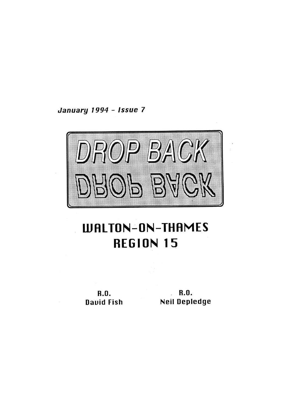January 1994 - Issue 7



# **WALTON-ON-THAMES REGION 15**

**R.O.** David Fish

 $R.0.$ **Neil Depledge**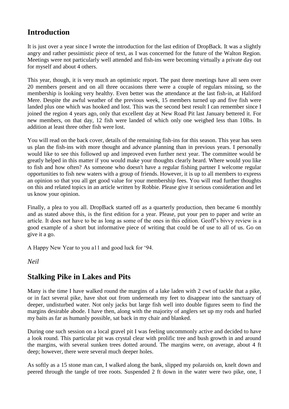# **Introduction**

It is just over a year since I wrote the introduction for the last edition of DropBack. It was a slightly angry and rather pessimistic piece of text, as I was concerned for the future of the Walton Region. Meetings were not particularly well attended and fish-ins were becoming virtually a private day out for myself and about 4 others.

This year, though, it is very much an optimistic report. The past three meetings have all seen over 20 members present and on all three occasions there were a couple of regulars missing, so the membership is looking very healthy. Even better was the attendance at the last fish-in, at Haliford Mere. Despite the awful weather of the previous week, 15 members turned up and five fish were landed plus one which was hooked and lost. This was the second best result I can remember since I joined the region 4 years ago, only that excellent day at New Road Pit last January bettered it. For new members, on that day, 12 fish were landed of which only one weighed less than 10lbs. In addition at least three other fish were lost.

You will read on the back cover, details of the remaining fish-ins for this season. This year has seen us plan the fish-ins with more thought and advance planning than in previous years. I personally would like to see this followed up and improved even further next year. The committee would be greatly helped in this matter if you would make your thoughts clearly heard. Where would you like to fish and how often? As someone who doesn't have a regular fishing partner I welcome regular opportunities to fish new waters with a group of friends. However, it is up to all members to express an opinion so that you all get good value for your membership fees. You will read further thoughts on this and related topics in an article written by Robbie. Please give it serious consideration and let us know your opinion.

Finally, a plea to you all. DropBack started off as a quarterly production, then became 6 monthly and as stated above this, is the first edition for a year. Please, put your pen to paper and write an article. It does not have to be as long as some of the ones in this edition. Geoff's bivvy review is a good example of a short but informative piece of writing that could be of use to all of us. Go on give it a go.

A Happy New Year to you a11 and good luck for '94.

### *Neil*

### **Stalking Pike in Lakes and Pits**

Many is the time I have walked round the margins of a lake laden with 2 cwt of tackle that a pike, or in fact several pike, have shot out from underneath my feet to disappear into the sanctuary of deeper, undisturbed water. Not only jacks but large fish well into double figures seem to find the margins desirable abode. I have then, along with the majority of anglers set up my rods and hurled my baits as far as humanly possible, sat back in my chair and blanked.

During one such session on a local gravel pit I was feeling uncommonly active and decided to have a look round. This particular pit was crystal clear with prolific tree and bush growth in and around the margins, with several sunken trees dotted around. The margins were, on average, about 4 ft deep; however, there were several much deeper holes.

As softly as a 15 stone man can, I walked along the bank, slipped my polaroids on, knelt down and peered through the tangle of tree roots. Suspended 2 ft down in the water were two pike, one, I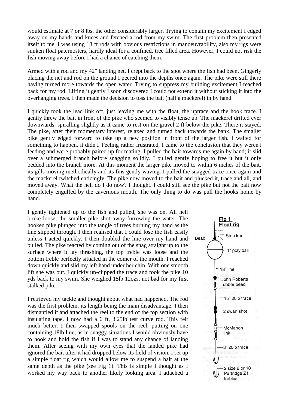would estimate at 7 or 8 lbs, the other considerably larger. Trying to contain my excitement I edged away on my hands and knees and fetched a rod from my swim. The first problem then presented itself to me. I was using 13 ft rods with obvious restrictions in manoeuvrability, also my rigs were sunken float paternosters, hardly ideal for a confined, tree filled area. However, I could not risk the fish moving away before I had a chance of catching them.

Armed with a rod and my 42" landing net, I crept back to the spot where the fish had been. Gingerly placing the net and rod on the ground I peered into the depths once again. The pike were still there having turned more towards the open water. Trying to suppress my building excitement I reached back for my rod. Lifting it gently I soon discovered I could not extend it without sticking it into the overhanging trees. I then made the decision to toss the bait (half a mackerel) in by hand.

I quickly took the lead link off, just leaving me with the float, the uptrace and the hook trace. I gently threw the bait in front of the pike who seemed to visibly tense up. The mackerel drifted ever downwards, spiralling slightly as it came to rest on the gravel 2 ft below the pike. There it stayed. The pike, after their momentary interest, relaxed and turned back towards the bank. The smaller pike gently edged forward to take up a new position in front of the larger fish. I waited for something to happen, it didn't. Feeling rather frustrated, I came to the conclusion that they weren't feeding and were probably paired up for mating. I pulled the bait towards me again by hand; it slid over a submerged branch before snagging solidly. I pulled gently hoping to free it but it only bedded into the branch more. At this moment the larger pike moved to within 6 inches of the bait, its gills moving methodically and its fins gently waving. I pulled the snagged trace once again and the mackerel twitched enticingly. The pike now moved to the bait and plucked it, trace and all, and moved away. What the hell do I do now? I thought. I could still see the pike but not the bait now completely engulfed by the cavernous mouth. The only thing to do was pull the hooks home by hand.

I gently tightened up to the fish and pulled, she was on. All hell broke loose; the smaller pike shot away furrowing the water. The hooked pike plunged into the tangle of trees burning my hand as the line slipped through. I then realised that I could lose the fish easily unless I acted quickly. I then doubled the line over my hand and pulled. The pike reacted by coming out of the snag straight up to the surface where it lay thrashing, the top treble was loose and the bottom treble perfectly situated in the comer of the mouth. I reached down quickly and slid my left hand under her chin. With one smooth lift she was out. I quickly un-clipped the trace and took the pike 10 yds back to my swim. She weighed 15lb 12ozs, not bad for my first stalked pike.

I retrieved my tackle and thought about what had happened. The rod was the first problem, its length being the main disadvantage. I then dismantled it and attached the reel to the end of the top section with insulating tape. I now had a 6 ft, 3.25lb test curve rod. This felt much better. I then swapped spools on the reel, putting on one containing 18lb line, as in snaggy situations I would obviously have to hook and hold the fish if I was to stand any chance of landing them. After seeing with my own eyes that the landed pike had ignored the bait after it had dropped below its field of vision, I set up a simple float rig which would allow me to suspend a bait at the same depth as the pike (see Fig 1). This is simple I thought as I worked my way back to another likely looking area. I attached a

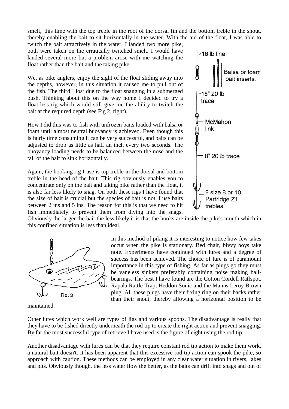smelt,' this time with the top treble in the root of the dorsal fin and the bottom treble in the snout, thereby enabling the bait to sit horizontally in the water. With the aid of the float, I was able to

twitch the bait attractively in the water. I landed two more pike, both were taken on the erratically twitched smelt. I would have landed several more but a problem arose with me watching the float rather than the bait and the taking pike.

We, as pike anglers, enjoy the sight of the float sliding away into the depths, however, in this situation it caused me to pull out of the fish. The third I lost due to the float snagging in a submerged bush. Thinking about this on the way home I decided to try a float-less rig which would still give me the ability to twitch the bait at the required depth (see Fig 2, right).

How I did this was to fish with unfrozen baits loaded with balsa or foam until almost neutral buoyancy is achieved. Even though this is fairly time consuming it can be very successful, and baits can be adjusted to drop as little as half an inch every two seconds. The buoyancy loading needs to be balanced between the nose and the tail of the bait to sink horizontally.

Again, the hooking rig I use is top treble in the dorsal and bottom treble in the head of the bait. This rig obviously enables you to concentrate only on the bait and taking pike rather than the float, it is also far less likely to snag. On both these rigs I have found that the size of bait is crucial but the species of bait is not. I use baits between 2 ins and 5 ins. The reason for this is that we need to hit fish immediately to prevent them from diving into the snags.



Obviously the larger the bait the less likely it is that the hooks are inside the pike's mouth which in this confined situation is less than ideal.



maintained.

In this method of piking it is interesting to notice how few takes occur when the pike is stationary. Bed chair, bivvy boys take note. Experiments have continued with lures and a degree of success has been achieved. The choice of lure is of paramount importance in this type of fishing. As far as plugs go they must be vaneless sinkers preferably containing noise making ballbearings. The best I have found are the Cotton Cordell Ratlspot, Rapala Rattle Trap, Heddon Sonic and the Manns Leroy Brown plug. All these plugs have their fixing ring on their backs rather than their snout, thereby allowing a horizontal position to be

Other lures which work well are types of jigs and various spoons. The disadvantage is really that they have to be fished directly underneath the rod tip to create the right action and prevent snagging. By far the most successful type of retrieve I have used is the figure of eight using the rod tip.

Another disadvantage with lures can be that they require constant rod tip action to make them work, a natural bait doesn't. It has been apparent that this excessive rod tip action can spook the pike, so approach with caution. These methods can be employed in any clear water situation in rivers, lakes and pits. Obviously though, the less water flow the better, as the baits can drift into snags and out of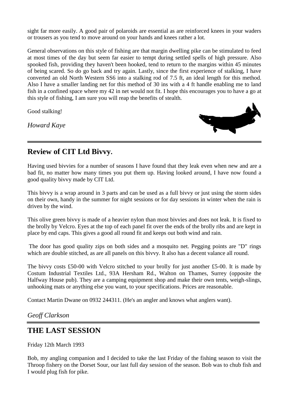sight far more easily. A good pair of polaroids are essential as are reinforced knees in your waders or trousers as you tend to move around on your hands and knees rather a lot.

General observations on this style of fishing are that margin dwelling pike can be stimulated to feed at most times of the day but seem far easier to tempt during settled spells of high pressure. Also spooked fish, providing they haven't been hooked, tend to return to the margins within 45 minutes of being scared. So do go back and try again. Lastly, since the first experience of stalking, I have converted an old North Western SS6 into a stalking rod of 7.5 ft, an ideal length for this method. Also I have a smaller landing net for this method of 30 ins with a 4 ft handle enabling me to land fish in a confined space where my 42 in net would not fit. I hope this encourages you to have a go at this style of fishing, I am sure you will reap the benefits of stealth.

Good stalking!

*Howard Kaye*



# **Review of CIT Ltd Bivvy.**

Having used bivvies for a number of seasons I have found that they leak even when new and are a bad fit, no matter how many times you put them up. Having looked around, I have now found a good quality bivvy made by CIT Ltd.

This bivvy is a wrap around in 3 parts and can be used as a full bivvy or just using the storm sides on their own, handy in the summer for night sessions or for day sessions in winter when the rain is driven by the wind.

This olive green bivvy is made of a heavier nylon than most bivvies and does not leak. It is fixed to the brolly by Velcro. Eyes at the top of each panel fit over the ends of the brolly ribs and are kept in place by end caps. This gives a good all round fit and keeps out both wind and rain.

The door has good quality zips on both sides and a mosquito net. Pegging points are "D" rings which are double stitched, as are all panels on this bivvy. It also has a decent valance all round.

The bivvy costs £50-00 with Velcro stitched to your brolly for just another £5-00. It is made by Costum Industrial Textiles Ltd., 93A Hersham Rd., Walton on Thames, Surrey (opposite the Halfway House pub). They are a camping equipment shop and make their own tents, weigh-slings, unhooking mats or anything else you want, to your specifications. Prices are reasonable.

Contact Martin Dwane on 0932 244311. (He's an angler and knows what anglers want).

### *Geoff Clarkson*

# **THE LAST SESSION**

Friday 12th March 1993

Bob, my angling companion and I decided to take the last Friday of the fishing season to visit the Throop fishery on the Dorset Sour, our last full day session of the season. Bob was to chub fish and I would plug fish for pike.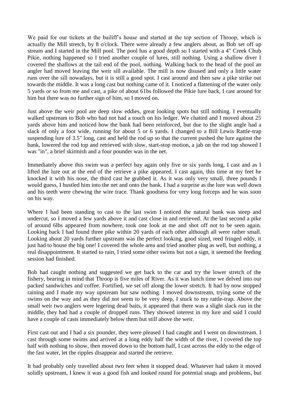We paid for our tickets at the bailiff's house and started at the top section of Throop, which is actually the Mill stretch, by 8 o'clock. There were already a few anglers about, as Bob set off up stream and I started in the Mill pool. The pool has a good depth so I started with a 4" Creek Chub Pikie, nothing happened so I tried another couple of lures, still nothing. Using a shallow diver I covered the shallows at the tail end of the pool, nothing. Walking back to the head of the pool an angler had moved leaving the weir sill available. The mill is now disused and only a little water runs over the sill nowadays, but it is still a good spot. I cast around and then saw a pike strike out towards the middle. It was a long cast but nothing came of it. I noticed a flattening of the water only 5 yards or so from me and cast, a pike of about 61bs followed the Pikie lure back, I cast around for him but there was no further sign of him, so I moved on.

Just above the weir pool are deep slow eddies, great looking spots but still nothing. I eventually walked upstream to Bob who had not had a touch on his ledger. We chatted and I moved about 25 yards above him and noticed how the bank had been reinforced, but due to the slight angle had a slack of only a foot wide, running for about 5 or 6 yards. I changed to a Bill Lewis Rattle-trap suspending lure of 3.5" long, cast and held the rod up so that the current pushed the lure against the bank, lowered the rod top and retrieved with slow, start-stop motion, a jab on the rod top showed I was "in", a brief skirmish and a four pounder was in the net.

Immediately above this swim was a perfect bay again only five or six yards long, I cast and as I lifted the lure out at the end of the retrieve a pike appeared. I cast again, this time at my feet he knocked it with his nose, the third cast he grabbed it. As it was only very small, three pounds I would guess, I hustled him into the net and onto the bank. I had a surprise as the lure was well down and his teeth were chewing the wire trace. Thank goodness for very long forceps and he was soon on his way.

Where I had been standing to cast to the last swim I noticed the natural bank was steep and undercut, so I moved a few yards above it and cast close in and retrieved. At the last second a pike of around 6lbs appeared from nowhere, took one look at me and shot off not to be seen again. Looking back I had found three pike within 20 yards of each other although all were rather small. Looking about 20 yards further upstream was the perfect looking, good sized, reed fringed eddy, it just had to house the big one! I covered the whole area and tried another plug as well, but nothing, a real disappointment. It started to rain, I tried some other swims but not a sign, it seemed the feeding session had finished.

Bob had caught nothing and suggested we get back to the car and try the lower stretch of the fishery, bearing in mind that Throop is five miles of River. As it was lunch time we delved into our packed sandwiches and coffee. Fortified, we set off along the lower stretch. It had by now stopped raining and I made my way upstream but saw nothing. I moved downstream, trying some of the swims on the way and as they did not seem to be very deep, I stuck to my rattle-trap. Above the small weir two anglers were legering dead baits, it appeared that there was a slight slack run in the middle, they had had a couple of dropped runs. They showed interest in my lure and said I could have a couple of casts immediately below them but still above the weir.

First cast out and I had a six pounder, they were pleased I had caught and I went on downstream. I cast through some swims and arrived at a long eddy half the width of the river, I covered the top half with nothing to show, then moved down to the bottom half, I cast across the eddy to the edge of the fast water, let the ripples disappear and started the retrieve.

It had probably only travelled about two feet when it stopped dead. Whatever had taken it moved solidly upstream, I knew it was a good fish and looked round for potential snags and problems, but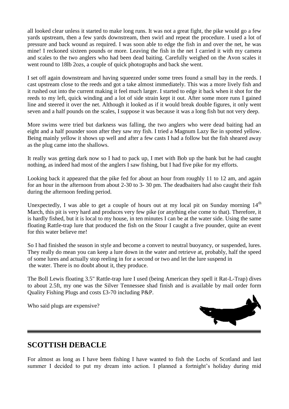all looked clear unless it started to make long runs. It was not a great fight, the pike would go a few yards upstream, then a few yards downstream, then swirl and repeat the procedure. I used a lot of pressure and back wound as required. I was soon able to edge the fish in and over the net, he was mine! I reckoned sixteen pounds or more. Leaving the fish in the net I carried it with my camera and scales to the two anglers who had been dead baiting. Carefully weighed on the Avon scales it went round to 18lb 2ozs, a couple of quick photographs and back she went.

I set off again downstream and having squeezed under some trees found a small bay in the reeds. I cast upstream close to the reeds and got a take almost immediately. This was a more lively fish and it rushed out into the current making it feel much larger. I started to edge it back when it shot for the reeds to my left, quick winding and a lot of side strain kept it out. After some more runs I gained line and steered it over the net. Although it looked as if it would break double figures, it only went seven and a half pounds on the scales, I suppose it was because it was a long fish but not very deep.

More swims were tried but darkness was falling, the two anglers who were dead baiting had an eight and a half pounder soon after they saw my fish. I tried a Magnum Lazy Ike in spotted yellow. Being mainly yellow it shows up well and after a few casts I had a follow but the fish sheared away as the plug came into the shallows.

It really was getting dark now so I had to pack up, I met with Bob up the bank but he had caught nothing, as indeed had most of the anglers I saw fishing, but I had five pike for my efforts.

Looking back it appeared that the pike fed for about an hour from roughly 11 to 12 am, and again for an hour in the afternoon from about 2-30 to 3- 30 pm. The deadbaiters had also caught their fish during the afternoon feeding period.

Unexpectedly, I was able to get a couple of hours out at my local pit on Sunday morning  $14<sup>th</sup>$ March, this pit is very hard and produces very few pike (or anything else come to that). Therefore, it is hardly fished, but it is local to my house, in ten minutes I can be at the water side. Using the same floating Rattle-trap lure that produced the fish on the Stour I caught a five pounder, quite an event for this water believe me!

So I had finished the season in style and become a convert to neutral buoyancy, or suspended, lures. They really do mean you can keep a lure down in the water and retrieve at, probably, half the speed of some lures and actually stop reeling in for a second or two and let the lure suspend in the water. There is no doubt about it, they produce.

The Boll Lewis floating 3.5" Rattle-trap lure I used (being American they spell it Rat-L-Trap) dives to about 2.5ft, my one was the Silver Tennessee shad finish and is available by mail order form Quality Fishing Plugs and costs £3-70 including P&P.

Who said plugs are expensive?



### **SCOTTISH DEBACLE**

For almost as long as I have been fishing I have wanted to fish the Lochs of Scotland and last summer I decided to put my dream into action. I planned a fortnight's holiday during mid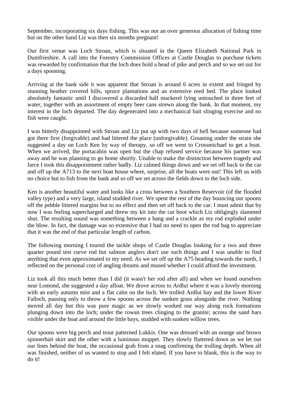September, incorporating six days fishing. This was not an over generous allocation of fishing time but on the other hand Liz was then six months pregnant!

Our first venue was Loch Stroan, which is situated in the Queen Elizabeth National Park in Dumfrieshire. A call into the Forestry Commission Offices at Castle Douglas to purchase tickets was rewarded by confirmation that the loch does hold a head of pike and perch and so we set out for a days spooning.

Arriving at the bank side it was apparent that Stroan is around 6 acres in extent and fringed by stunning heather covered hills, spruce plantations and an extensive reed bed. The place looked absolutely fantastic until I discovered a discarded half mackerel lying untouched in three feet of water, together with an assortment of empty beer cans strewn along the bank. In that moment, my interest in the loch departed. The day degenerated into a mechanical bait slinging exercise and no fish were caught.

I was bitterly disappointed with Stroan and Liz put up with two days of hell because someone had got there first (forgivable) and had littered the place (unforgivable). Groaning under the strain she suggested a day on Loch Ken by way of therapy, so off we went to Crossmichael to get a boat. When we arrived, the portacabin was open but the chap refused service because his partner was away and he was planning to go home shortly. Unable to make the distinction between tragedy and farce I took this disappointment rather badly. Liz calmed things down and we set off back to the car and off up the A713 to the next boat house where, surprise, all the boats were out! This left us with no choice but to fish from the bank and so off we set across the fields down to the loch side.

Ken is another beautiful water and looks like a cross between a Southern Reservoir (of the flooded valley type) and a very large, island studded river. We spent the rest of the day bouncing our spoons off the pebble littered margins but to no effect and then set off back to the car. I must admit that by now I was feeling supercharged and threw my kit into the car boot which Liz obligingly slammed shut. The resulting sound was something between a bang and a crackle as my rod exploded under the blow. In fact, the damage was so extensive that I had no need to open the rod bag to appreciate that it was the end of that particular length of carbon.

The following morning I toured the tackle shops of Castle Douglas looking for a two and three quarter pound test curve rod but salmon anglers don't use such things and I was unable to find anything that even approximated to my need. As we set off up the A75 heading towards the north, I reflected on the personal cost of angling dreams and mused whether I could afford the investment.

Liz took all this much better than I did (it wasn't her rod after all) and when we found ourselves near Lomond, she suggested a day afloat. We drove across to Ardlui where it was a lovely morning with an early autumn mist and a flat calm on the loch. We trolled Ardlui bay and the lower River Falloch, pausing only to throw a few spoons across the sunken grass alongside the river. Nothing moved all day but this was pure magic as we slowly worked our way along rock formations plunging down into the loch; under the rowan trees clinging to the granite; across the sand bars visible under the boat and around the little bays, studded with sunken willow trees.

Our spoons were big perch and trout patterned Lukkis. One was dressed with an orange and brown spinnerbait skirt and the other with a luminous muppet. They slowly fluttered down as we let out our lines behind the boat, the occasional grab from a snag confirming the trolling depth. When all was finished, neither of us wanted to stop and I felt elated. If you have to blank, this is the way to do it!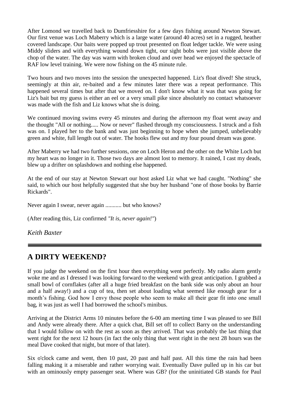After Lomond we travelled back to Dumfriesshire for a few days fishing around Newton Stewart. Our first venue was Loch Maberry which is a large water (around 40 acres) set in a rugged, heather covered landscape. Our baits were popped up trout presented on float ledger tackle. We were using Middy sliders and with everything wound down tight, our sight bobs were just visible above the chop of the water. The day was warm with broken cloud and over head we enjoyed the spectacle of RAF low level training. We were now fishing on the 45 minute rule.

Two hours and two moves into the session the unexpected happened. Liz's float dived! She struck, seemingly at thin air, re-baited and a few minutes later there was a repeat performance. This happened several times but after that we moved on. I don't know what it was that was going for Liz's bait but my guess is either an eel or a very small pike since absolutely no contact whatsoever was made with the fish and Liz knows what she is doing.

We continued moving swims every 45 minutes and during the afternoon my float went away and the thought "All or nothing..... Now or never" flashed through my consciousness. I struck and a fish was on. I played her to the bank and was just beginning to hope when she jumped, unbelievably green and white, full length out of water. The hooks flew out and my four pound dream was gone.

After Maberry we had two further sessions, one on Loch Heron and the other on the White Loch but my heart was no longer in it. Those two days are almost lost to memory. It rained, I cast my deads, blew up a drifter on splashdown and nothing else happened.

At the end of our stay at Newton Stewart our host asked Liz what we had caught. "Nothing" she said, to which our host helpfully suggested that she buy her husband "one of those books by Barrie Rickards".

Never again I swear, never again ........... but who knows?

(After reading this, Liz confirmed *"It is, never again!"*)

*Keith Baxter*

### **A DIRTY WEEKEND?**

If you judge the weekend on the first hour then everything went perfectly. My radio alarm gently woke me and as I dressed I was looking forward to the weekend with great anticipation. I grabbed a small bowl of cornflakes (after all a huge fried breakfast on the bank side was only about an hour and a half away!) and a cup of tea, then set about loading what seemed like enough gear for a month's fishing. God how I envy those people who seem to make all their gear fit into one small bag, it was just as well I had borrowed the school's minibus.

Arriving at the District Arms 10 minutes before the 6-00 am meeting time I was pleased to see Bill and Andy were already there. After a quick chat, Bill set off to collect Barry on the understanding that I would follow on with the rest as soon as they arrived. That was probably the last thing that went right for the next 12 hours (in fact the only thing that went right in the next 28 hours was the meal Dave cooked that night, but more of that later).

Six o'clock came and went, then 10 past, 20 past and half past. All this time the rain had been falling making it a miserable and rather worrying wait. Eventually Dave pulled up in his car but with an ominously empty passenger seat. Where was GB? (for the uninitiated GB stands for Paul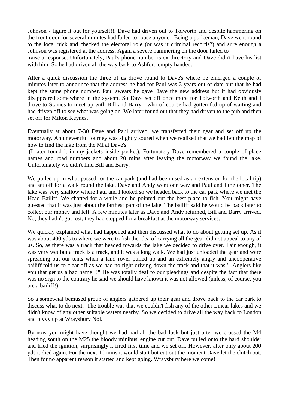Johnson - figure it out for yourself!). Dave had driven out to Tolworth and despite hammering on the front door for several minutes had failed to rouse anyone. Being a policeman, Dave went round to the local nick and checked the electoral role (or was it criminal records?) and sure enough a Johnson was registered at the address. Again a severe hammering on the door failed to raise a response. Unfortunately, Paul's phone number is ex-directory and Dave didn't have his list with him. So he had driven all the way back to Ashford empty handed.

After a quick discussion the three of us drove round to Dave's where he emerged a couple of minutes later to announce that the address he had for Paul was 3 years out of date but that he had kept the same phone number. Paul swears he gave Dave the new address but it had obviously disappeared somewhere in the system. So Dave set off once more for Tolworth and Keith and I drove to Staines to meet up with Bill and Barry - who of course had gotten fed up of waiting and had driven off to see what was going on. We later found out that they had driven to the pub and then set off for Milton Keynes.

Eventually at about 7-30 Dave and Paul arrived, we transferred their gear and set off up the motorway. An uneventful journey was slightly soured when we realised that we had left the map of how to find the lake from the Ml at Dave's

(I later found it in my jackets inside pocket). Fortunately Dave remembered a couple of place names and road numbers and about 20 mins after leaving the motorway we found the lake. Unfortunately we didn't find Bill and Barry.

We pulled up in what passed for the car park (and had been used as an extension for the local tip) and set off for a walk round the lake, Dave and Andy went one way and Paul and I the other. The lake was very shallow where Paul and I looked so we headed back to the car park where we met the Head Bailiff. We chatted for a while and he pointed out the best place to fish. You might have guessed that it was just about the farthest part of the lake. The bailiff said he would be back later to collect our money and left. A few minutes later as Dave and Andy returned, Bill and Barry arrived. No, they hadn't got lost; they had stopped for a breakfast at the motorway services.

We quickly explained what had happened and then discussed what to do about getting set up. As it was about 400 yds to where we were to fish the idea of carrying all the gear did not appeal to any of us. So, as there was a track that headed towards the lake we decided to drive over. Fair enough, it was very wet but a track is a track, and it was a long walk. We had just unloaded the gear and were spreading out our tents when a land rover pulled up and an extremely angry and uncooperative bailiff told us to clear off as we had no right driving down the track and that it was "..Anglers like you that get us a bad name!!!" He was totally deaf to our pleadings and despite the fact that there was no sign to the contrary he said we should have known it was not allowed (unless, of course, you are a bailiff!).

So a somewhat bemused group of anglers gathered up their gear and drove back to the car park to discuss what to do next. The trouble was that we couldn't fish any of the other Linear lakes and we didn't know of any other suitable waters nearby. So we decided to drive all the way back to London and bivvy up at Wraysbury Nol.

By now you might have thought we had had all the bad luck but just after we crossed the M4 heading south on the M25 the bloody minibus' engine cut out. Dave pulled onto the hard shoulder and tried the ignition, surprisingly it fired first time and we set off. However, after only about 200 yds it died again. For the next 10 mins it would start but cut out the moment Dave let the clutch out. Then for no apparent reason it started and kept going. Wraysbury here we come!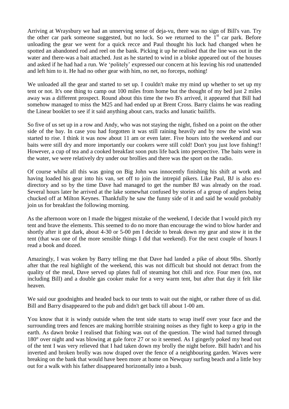Arriving at Wraysbury we had an unnerving sense of deja-vu, there was no sign of Bill's van. Try the other car park someone suggested, but no luck. So we returned to the  $1<sup>st</sup>$  car park. Before unloading the gear we went for a quick recce and Paul thought his luck had changed when he spotted an abandoned rod and reel on the bank. Picking it up he realised that the line was out in the water and there-was a bait attached. Just as he started to wind in a bloke appeared out of the houses and asked if he had had a run. We 'politely' expressed our concern at his leaving his rod unattended and left him to it. He had no other gear with him, no net, no forceps, nothing!

We unloaded all the gear and started to set up. I couldn't make my mind up whether to set up my tent or not. It's one thing to camp out 100 miles from home but the thought of my bed just 2 miles away was a different prospect. Round about this time the two B's arrived, it appeared that Bill had somehow managed to miss the M25 and had ended up at Brent Cross. Barry claims he was reading the Linear booklet to see if it said anything about cars, tracks and lunatic bailiffs.

So five of us set up in a row and Andy, who was not staying the night, fished on a point on the other side of the bay. In case you had forgotten it was still raining heavily and by now the wind was started to rise. I think it was now about 11 am or even later. Five hours into the weekend and our baits were still dry and more importantly our cookers were still cold! Don't you just love fishing!! However, a cup of tea and a cooked breakfast soon puts life back into perspective. The baits were in the water, we were relatively dry under our brollies and there was the sport on the radio.

Of course whilst all this was going on Big John was innocently finishing his shift at work and having loaded his gear into his van, set off to join the intrepid pikers. Like Paul, BJ is also exdirectory and so by the time Dave had managed to get the number BJ was already on the road. Several hours later he arrived at the lake somewhat confused by stories of a group of anglers being chucked off at Milton Keynes. Thankfully he saw the funny side of it and said he would probably join us for breakfast the following morning.

As the afternoon wore on I made the biggest mistake of the weekend, I decide that I would pitch my tent and brave the elements. This seemed to do no more than encourage the wind to blow harder and shortly after it got dark, about 4-30 or 5-00 pm I decide to break down my gear and stow it in the tent (that was one of the more sensible things I did that weekend). For the next couple of hours I read a book and dozed.

Amazingly, I was woken by Barry telling me that Dave had landed a pike of about 9lbs. Shortly after that the real highlight of the weekend, this was not difficult but should not detract from the quality of the meal, Dave served up plates full of steaming hot chili and rice. Four men (no, not including Bill) and a double gas cooker make for a very warm tent, but after that day it felt like heaven.

We said our goodnights and headed back to our tents to wait out the night, or rather three of us did. Bill and Barry disappeared to the pub and didn't get back till about 1-00 am.

You know that it is windy outside when the tent side starts to wrap itself over your face and the surrounding trees and fences are making horrible straining noises as they fight to keep a grip in the earth. As dawn broke I realised that fishing was out of the question. The wind had turned through 180° over night and was blowing at gale force 27 or so it seemed. As I gingerly poked my head out of the tent I was very relieved that I had taken down my brolly the night before. Bill hadn't and his inverted and broken brolly was now draped over the fence of a neighbouring garden. Waves were breaking on the bank that would have been more at home on Newquay surfing beach and a little boy out for a walk with his father disappeared horizontally into a bush.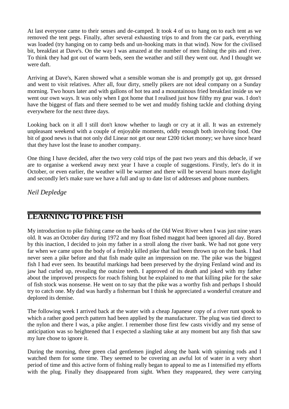At last everyone came to their senses and de-camped. It took 4 of us to hang on to each tent as we removed the tent pegs. Finally, after several exhausting trips to and from the car park, everything was loaded (try hanging on to camp beds and un-hooking mats in that wind). Now for the civilised bit, breakfast at Dave's. On the way I was amazed at the number of men fishing the pits and river. To think they had got out of warm beds, seen the weather and still they went out. And I thought we were daft.

Arriving at Dave's, Karen showed what a sensible woman she is and promptly got up, got dressed and went to visit relatives. After all, four dirty, smelly pikers are not ideal company on a Sunday morning. Two hours later and with gallons of hot tea and a mountainous fried breakfast inside us we went our own ways. It was only when I got home that I realised just how filthy my gear was. I don't have the biggest of flats and there seemed to be wet and muddy fishing tackle and clothing drying everywhere for the next three days.

Looking back on it all I still don't know whether to laugh or cry at it all. It was an extremely unpleasant weekend with a couple of enjoyable moments, oddly enough both involving food. One bit of good news is that not only did Linear not get our near £200 ticket money; we have since heard that they have lost the lease to another company.

One thing I have decided, after the two very cold trips of the past two years and this debacle, if we are to organise a weekend away next year I have a couple of suggestions. Firstly, let's do it in October, or even earlier, the weather will be warmer and there will be several hours more daylight and secondly let's make sure we have a full and up to date list of addresses and phone numbers.

*Neil Depledge*

# **LEARNING TO PIKE FISH**

My introduction to pike fishing came on the banks of the Old West River when I was just nine years old. It was an October day during 1972 and my float fished maggot had been ignored all day. Bored by this inaction, I decided to join my father in a stroll along the river bank. We had not gone very far when we came upon the body of a freshly killed pike that had been thrown up on the bank. I had never seen a pike before and that fish made quite an impression on me. The pike was the biggest fish I had ever seen. Its beautiful markings had been preserved by the drying Fenland wind and its jaw had curled up, revealing the outsize teeth. I approved of its death and joked with my father about the improved prospects for roach fishing but he explained to me that killing pike for the sake of fish stock was nonsense. He went on to say that the pike was a worthy fish and perhaps I should try to catch one. My dad was hardly a fisherman but I think he appreciated a wonderful creature and deplored its demise.

The following week I arrived back at the water with a cheap Japanese copy of a river runt spook to which a rather good perch pattern had been applied by the manufacturer. The plug was tied direct to the nylon and there I was, a pike angler. I remember those first few casts vividly and my sense of anticipation was so heightened that I expected a slashing take at any moment but any fish that saw my lure chose to ignore it.

During the morning, three green clad gentlemen jingled along the bank with spinning rods and I watched them for some time. They seemed to be covering an awful lot of water in a very short period of time and this active form of fishing really began to appeal to me as I intensified my efforts with the plug. Finally they disappeared from sight. When they reappeared, they were carrying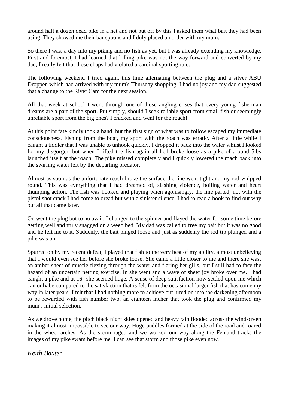around half a dozen dead pike in a net and not put off by this I asked them what bait they had been using. They showed me their bar spoons and I duly placed an order with my mum.

So there I was, a day into my piking and no fish as yet, but I was already extending my knowledge. First and foremost, I had learned that killing pike was not the way forward and converted by my dad, I really felt that those chaps had violated a cardinal sporting rule.

The following weekend I tried again, this time alternating between the plug and a silver ABU Droppen which had arrived with my mum's Thursday shopping. I had no joy and my dad suggested that a change to the River Cam for the next session.

All that week at school I went through one of those angling crises that every young fisherman dreams are a part of the sport. Put simply, should I seek reliable sport from small fish or seemingly unreliable sport from the big ones? I cracked and went for the roach!

At this point fate kindly took a hand, but the first sign of what was to follow escaped my immediate consciousness. Fishing from the boat, my sport with the roach was erratic. After a little while I caught a tiddler that I was unable to unhook quickly. I dropped it back into the water whilst I looked for my disgorger, but when I lifted the fish again all hell broke loose as a pike of around 5lbs launched itself at the roach. The pike missed completely and I quickly lowered the roach back into the swirling water left by the departing predator.

Almost as soon as the unfortunate roach broke the surface the line went tight and my rod whipped round. This was everything that I had dreamed of, slashing violence, boiling water and heart thumping action. The fish was hooked and playing when agonisingly, the line parted, not with the pistol shot crack I had come to dread but with a sinister silence. I had to read a book to find out why but all that came later.

On went the plug but to no avail. I changed to the spinner and flayed the water for some time before getting well and truly snagged on a weed bed. My dad was called to free my bait but it was no good and he left me to it. Suddenly, the bait pinged loose and just as suddenly the rod tip plunged and a pike was on.

Spurred on by my recent defeat, I played that fish to the very best of my ability, almost unbelieving that I would even see her before she broke loose. She came a little closer to me and there she was, an amber sheet of muscle flexing through the water and flaring her gills, but I still had to face the hazard of an uncertain netting exercise. In she went and a wave of sheer joy broke over me. I had caught a pike and at 16" she seemed huge. A sense of deep satisfaction now settled upon me which can only be compared to the satisfaction that is felt from the occasional larger fish that has come my way in later years. I felt that I had nothing more to achieve but lured on into the darkening afternoon to be rewarded with fish number two, an eighteen incher that took the plug and confirmed my mum's initial selection.

As we drove home, the pitch black night skies opened and heavy rain flooded across the windscreen making it almost impossible to see our way. Huge puddles formed at the side of the road and roared in the wheel arches. As the storm raged and we worked our way along the Fenland tracks the images of my pike swam before me. I can see that storm and those pike even now.

*Keith Baxter*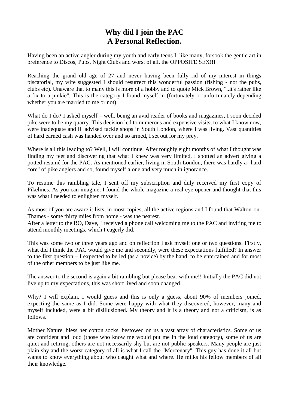# **Why did I join the PAC A Personal Reflection.**

Having been an active angler during my youth and early teens I, like many, forsook the gentle art in preference to Discos, Pubs, Night Clubs and worst of all, the OPPOSITE SEX!!!

Reaching the grand old age of 27 and never having been fully rid of my interest in things piscatorial, my wife suggested I should resurrect this wonderful passion (fishing - not the pubs, clubs etc). Unaware that to many this is more of a hobby and to quote Mick Brown, "..it's rather like a fix to a junkie". This is the category I found myself in (fortunately or unfortunately depending whether you are married to me or not).

What do I do? I asked myself – well, being an avid reader of books and magazines, I soon decided pike were to be my quarry. This decision led to numerous and expensive visits, to what I know now, were inadequate and ill advised tackle shops in South London, where I was living. Vast quantities of hard earned cash was handed over and so armed, I set out for my prey.

Where is all this leading to? Well, I will continue. After roughly eight months of what I thought was finding my feet and discovering that what I knew was very limited, I spotted an advert giving a potted resumé for the PAC. As mentioned earlier, living in South London, there was hardly a "hard core" of pike anglers and so, found myself alone and very much in ignorance.

To resume this rambling tale, I sent off my subscription and duly received my first copy of Pikelines. As you can imagine, I found the whole magazine a real eye opener and thought that this was what I needed to enlighten myself.

As most of you are aware it lists, in most copies, all the active regions and I found that Walton-on-Thames - some thirty miles from home - was the nearest.

After a letter to the RO, Dave, I received a phone call welcoming me to the PAC and inviting me to attend monthly meetings, which I eagerly did.

This was some two or three years ago and on reflection I ask myself one or two questions. Firstly, what did I think the PAC would give me and secondly, were these expectations fulfilled? In answer to the first question – I expected to be led (as a novice) by the hand, to be entertained and for most of the other members to be just like me.

The answer to the second is again a bit rambling but please bear with me!! Initially the PAC did not live up to my expectations, this was short lived and soon changed.

Why? I will explain, I would guess and this is only a guess, about 90% of members joined, expecting the same as I did. Some were happy with what they discovered, however, many and myself included, were a bit disillusioned. My theory and it is a theory and not a criticism, is as follows.

Mother Nature, bless her cotton socks, bestowed on us a vast array of characteristics. Some of us are confident and loud (those who know me would put me in the loud category), some of us are quiet and retiring, others are not necessarily shy but are not public speakers. Many people are just plain shy and the worst category of all is what I call the "Mercenary". This guy has done it all but wants to know everything about who caught what and where. He milks his fellow members of all their knowledge.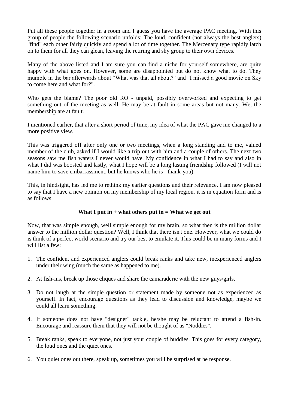Put all these people together in a room and I guess you have the average PAC meeting. With this group of people the following scenario unfolds: The loud, confident (not always the best anglers) "find" each other fairly quickly and spend a lot of time together. The Mercenary type rapidly latch on to them for all they can glean, leaving the retiring and shy group to their own devices.

Many of the above listed and I am sure you can find a niche for yourself somewhere, are quite happy with what goes on. However, some are disappointed but do not know what to do. They mumble in the bar afterwards about "What was that all about?" and "I missed a good movie on Sky to come here and what for?".

Who gets the blame? The poor old RO - unpaid, possibly overworked and expecting to get something out of the meeting as well. He may be at fault in some areas but not many. We, the membership are at fault.

I mentioned earlier, that after a short period of time, my idea of what the PAC gave me changed to a more positive view.

This was triggered off after only one or two meetings, when a long standing and to me, valued member of the club, asked if I would like a trip out with him and a couple of others. The next two seasons saw me fish waters I never would have. My confidence in what I had to say and also in what I did was boosted and lastly, what I hope will be a long lasting friendship followed (I will not name him to save embarrassment, but he knows who he is - thank-you).

This, in hindsight, has led me to rethink my earlier questions and their relevance. I am now pleased to say that I have a new opinion on my membership of my local region, it is in equation form and is as follows

### **What I put in + what others put in = What we get out**

Now, that was simple enough, well simple enough for my brain, so what then is the million dollar answer to the million dollar question? Well, I think that there isn't one. However, what we could do is think of a perfect world scenario and try our best to emulate it. This could be in many forms and I will list a few:

- 1. The confident and experienced anglers could break ranks and take new, inexperienced anglers under their wing (much the same as happened to me).
- 2. At fish-ins, break up those cliques and share the camaraderie with the new guys/girls.
- 3. Do not laugh at the simple question or statement made by someone not as experienced as yourself. In fact, encourage questions as they lead to discussion and knowledge, maybe we could all learn something.
- 4. If someone does not have "designer" tackle, he/she may be reluctant to attend a fish-in. Encourage and reassure them that they will not be thought of as "Noddies".
- 5. Break ranks, speak to everyone, not just your couple of buddies. This goes for every category, the loud ones and the quiet ones.
- 6. You quiet ones out there, speak up, sometimes you will be surprised at he response.